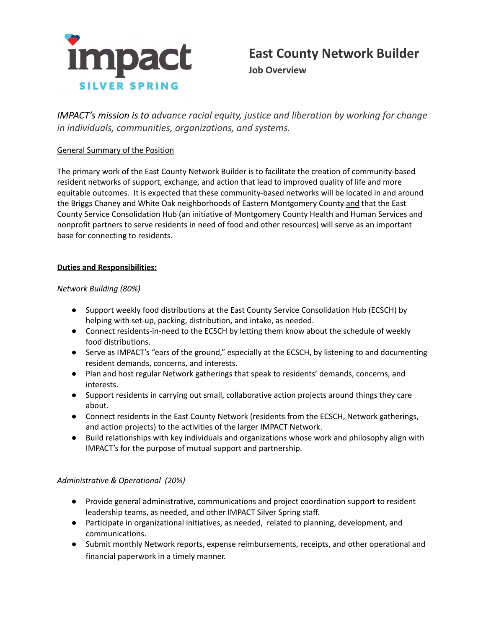

*IMPACT's mission is to advance racial equity, justice and liberation by working for change in individuals, communities, organizations, and systems.*

## General Summary of the Position

The primary work of the East County Network Builder is to facilitate the creation of community-based resident networks of support, exchange, and action that lead to improved quality of life and more equitable outcomes. It is expected that these community-based networks will be located in and around the Briggs Chaney and White Oak neighborhoods of Eastern Montgomery County and that the East County Service Consolidation Hub (an initiative of Montgomery County Health and Human Services and nonprofit partners to serve residents in need of food and other resources) will serve as an important base for connecting to residents.

### **Duties and Responsibilities:**

## *Network Building (80%)*

- Support weekly food distributions at the East County Service Consolidation Hub (ECSCH) by helping with set-up, packing, distribution, and intake, as needed.
- Connect residents-in-need to the ECSCH by letting them know about the schedule of weekly food distributions.
- Serve as IMPACT's "ears of the ground," especially at the ECSCH, by listening to and documenting resident demands, concerns, and interests.
- Plan and host regular Network gatherings that speak to residents' demands, concerns, and interests.
- Support residents in carrying out small, collaborative action projects around things they care about.
- Connect residents in the East County Network (residents from the ECSCH, Network gatherings, and action projects) to the activities of the larger IMPACT Network.
- Build relationships with key individuals and organizations whose work and philosophy align with IMPACT's for the purpose of mutual support and partnership.

# *Administrative & Operational (20%)*

- Provide general administrative, communications and project coordination support to resident leadership teams, as needed, and other IMPACT Silver Spring staff.
- Participate in organizational initiatives, as needed, related to planning, development, and communications.
- Submit monthly Network reports, expense reimbursements, receipts, and other operational and financial paperwork in a timely manner.